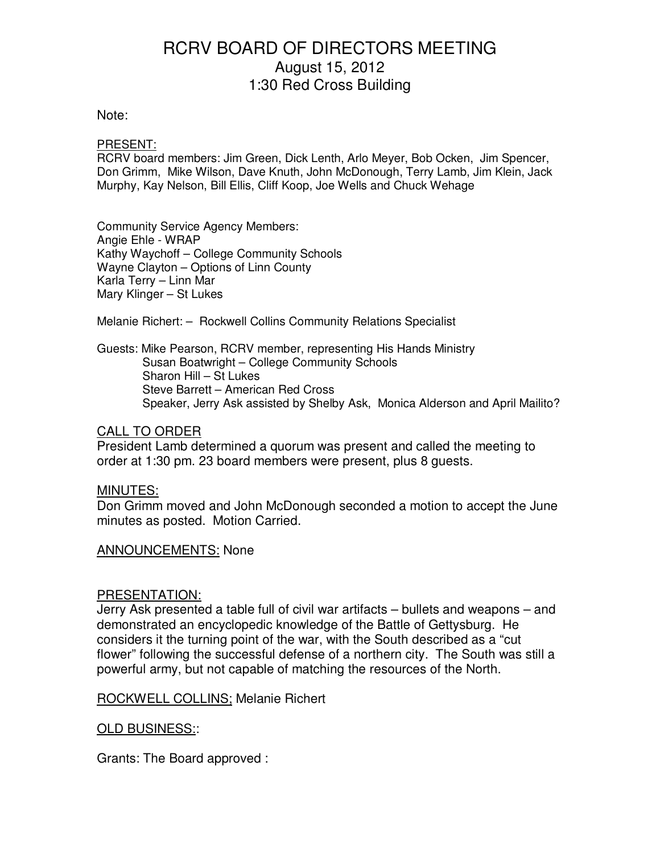#### Note:

#### PRESENT:

RCRV board members: Jim Green, Dick Lenth, Arlo Meyer, Bob Ocken, Jim Spencer, Don Grimm, Mike Wilson, Dave Knuth, John McDonough, Terry Lamb, Jim Klein, Jack Murphy, Kay Nelson, Bill Ellis, Cliff Koop, Joe Wells and Chuck Wehage

Community Service Agency Members: Angie Ehle - WRAP Kathy Waychoff – College Community Schools Wayne Clayton – Options of Linn County Karla Terry – Linn Mar Mary Klinger – St Lukes

Melanie Richert: – Rockwell Collins Community Relations Specialist

Guests: Mike Pearson, RCRV member, representing His Hands Ministry Susan Boatwright – College Community Schools Sharon Hill – St Lukes Steve Barrett – American Red Cross Speaker, Jerry Ask assisted by Shelby Ask, Monica Alderson and April Mailito?

### CALL TO ORDER

President Lamb determined a quorum was present and called the meeting to order at 1:30 pm. 23 board members were present, plus 8 guests.

### MINUTES:

Don Grimm moved and John McDonough seconded a motion to accept the June minutes as posted. Motion Carried.

### ANNOUNCEMENTS: None

### PRESENTATION:

Jerry Ask presented a table full of civil war artifacts – bullets and weapons – and demonstrated an encyclopedic knowledge of the Battle of Gettysburg. He considers it the turning point of the war, with the South described as a "cut flower" following the successful defense of a northern city. The South was still a powerful army, but not capable of matching the resources of the North.

ROCKWELL COLLINS; Melanie Richert

### OLD BUSINESS::

Grants: The Board approved :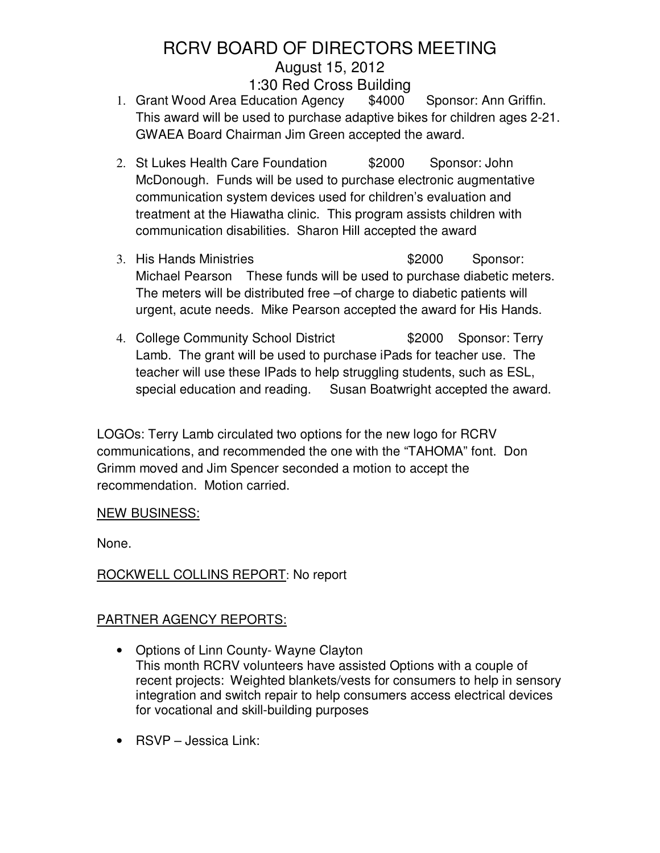- 1. Grant Wood Area Education Agency \$4000 Sponsor: Ann Griffin. This award will be used to purchase adaptive bikes for children ages 2-21. GWAEA Board Chairman Jim Green accepted the award.
- 2. St Lukes Health Care Foundation  $$2000$  Sponsor: John McDonough. Funds will be used to purchase electronic augmentative communication system devices used for children's evaluation and treatment at the Hiawatha clinic. This program assists children with communication disabilities. Sharon Hill accepted the award
- 3. His Hands Ministries **\$2000** Sponsor: Michael Pearson These funds will be used to purchase diabetic meters. The meters will be distributed free –of charge to diabetic patients will urgent, acute needs. Mike Pearson accepted the award for His Hands.
- 4. College Community School District **\$2000** Sponsor: Terry Lamb. The grant will be used to purchase iPads for teacher use. The teacher will use these IPads to help struggling students, such as ESL, special education and reading. Susan Boatwright accepted the award.

LOGOs: Terry Lamb circulated two options for the new logo for RCRV communications, and recommended the one with the "TAHOMA" font. Don Grimm moved and Jim Spencer seconded a motion to accept the recommendation. Motion carried.

## NEW BUSINESS:

None.

## ROCKWELL COLLINS REPORT: No report

## PARTNER AGENCY REPORTS:

- Options of Linn County- Wayne Clayton This month RCRV volunteers have assisted Options with a couple of recent projects: Weighted blankets/vests for consumers to help in sensory integration and switch repair to help consumers access electrical devices for vocational and skill-building purposes
- RSVP Jessica Link: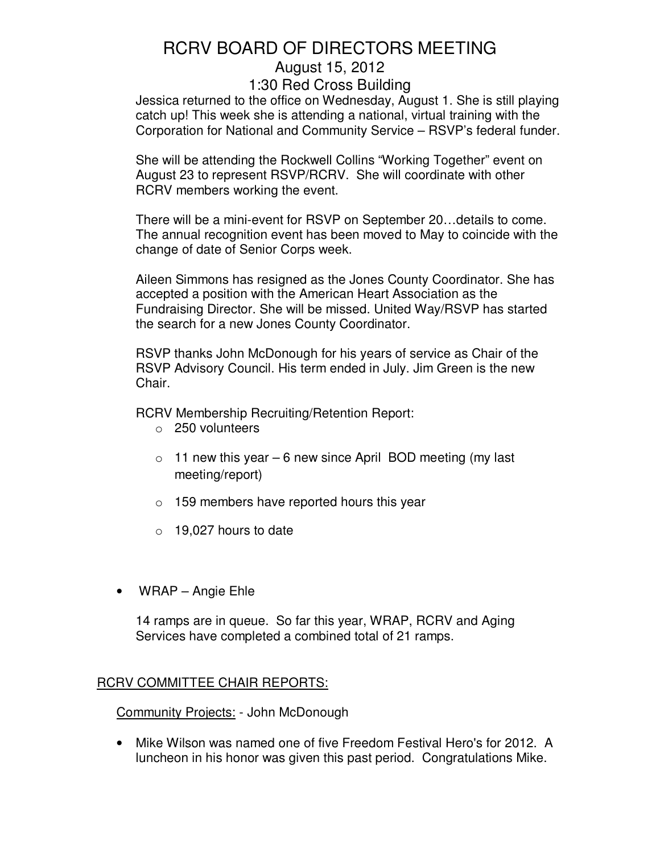Jessica returned to the office on Wednesday, August 1. She is still playing catch up! This week she is attending a national, virtual training with the Corporation for National and Community Service – RSVP's federal funder.

She will be attending the Rockwell Collins "Working Together" event on August 23 to represent RSVP/RCRV. She will coordinate with other RCRV members working the event.

There will be a mini-event for RSVP on September 20…details to come. The annual recognition event has been moved to May to coincide with the change of date of Senior Corps week.

Aileen Simmons has resigned as the Jones County Coordinator. She has accepted a position with the American Heart Association as the Fundraising Director. She will be missed. United Way/RSVP has started the search for a new Jones County Coordinator.

RSVP thanks John McDonough for his years of service as Chair of the RSVP Advisory Council. His term ended in July. Jim Green is the new Chair.

RCRV Membership Recruiting/Retention Report:

- o 250 volunteers
- $\circ$  11 new this year 6 new since April BOD meeting (my last meeting/report)
- $\circ$  159 members have reported hours this year
- $\circ$  19,027 hours to date
- WRAP Angie Ehle

14 ramps are in queue. So far this year, WRAP, RCRV and Aging Services have completed a combined total of 21 ramps.

## RCRV COMMITTEE CHAIR REPORTS:

**Community Projects: - John McDonough** 

• Mike Wilson was named one of five Freedom Festival Hero's for 2012. A luncheon in his honor was given this past period. Congratulations Mike.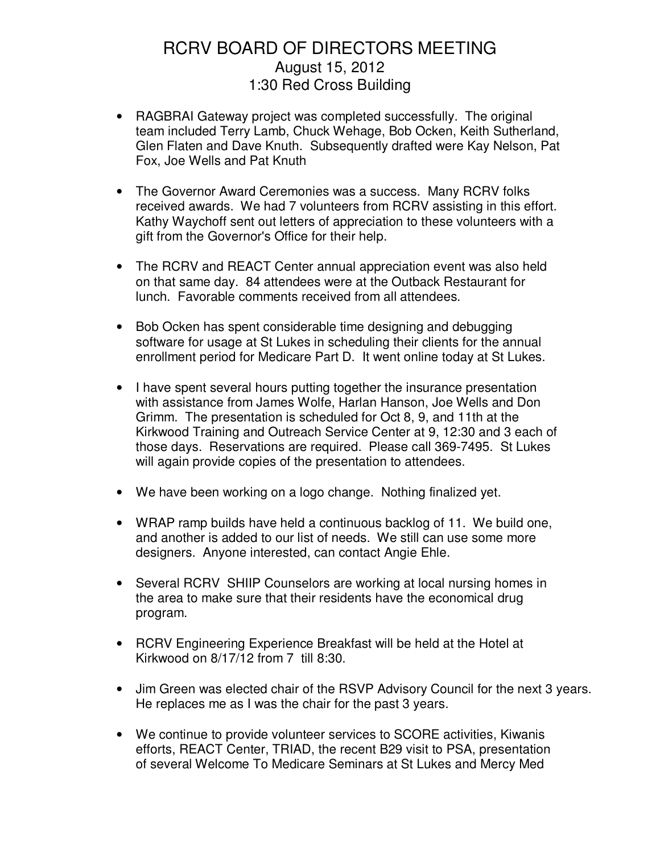- RAGBRAI Gateway project was completed successfully. The original team included Terry Lamb, Chuck Wehage, Bob Ocken, Keith Sutherland, Glen Flaten and Dave Knuth. Subsequently drafted were Kay Nelson, Pat Fox, Joe Wells and Pat Knuth
- The Governor Award Ceremonies was a success. Many RCRV folks received awards. We had 7 volunteers from RCRV assisting in this effort. Kathy Waychoff sent out letters of appreciation to these volunteers with a gift from the Governor's Office for their help.
- The RCRV and REACT Center annual appreciation event was also held on that same day. 84 attendees were at the Outback Restaurant for lunch. Favorable comments received from all attendees.
- Bob Ocken has spent considerable time designing and debugging software for usage at St Lukes in scheduling their clients for the annual enrollment period for Medicare Part D. It went online today at St Lukes.
- I have spent several hours putting together the insurance presentation with assistance from James Wolfe, Harlan Hanson, Joe Wells and Don Grimm. The presentation is scheduled for Oct 8, 9, and 11th at the Kirkwood Training and Outreach Service Center at 9, 12:30 and 3 each of those days. Reservations are required. Please call 369-7495. St Lukes will again provide copies of the presentation to attendees.
- We have been working on a logo change. Nothing finalized yet.
- WRAP ramp builds have held a continuous backlog of 11. We build one, and another is added to our list of needs. We still can use some more designers. Anyone interested, can contact Angie Ehle.
- Several RCRV SHIIP Counselors are working at local nursing homes in the area to make sure that their residents have the economical drug program.
- RCRV Engineering Experience Breakfast will be held at the Hotel at Kirkwood on 8/17/12 from 7 till 8:30.
- Jim Green was elected chair of the RSVP Advisory Council for the next 3 years. He replaces me as I was the chair for the past 3 years.
- We continue to provide volunteer services to SCORE activities, Kiwanis efforts, REACT Center, TRIAD, the recent B29 visit to PSA, presentation of several Welcome To Medicare Seminars at St Lukes and Mercy Med